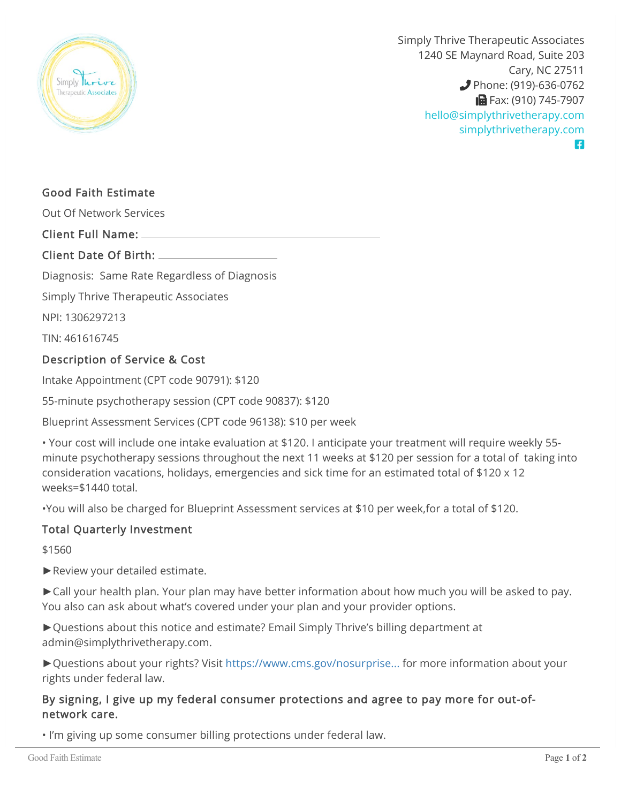

Simply Thrive Therapeutic Associates 1240 SE Maynard Road, Suite 203 Cary, NC 27511 **Phone: (919)-636-0762 B** Fax: (910) 745-7907 [hello@simplythrivetherapy.com](mailto:hello@simplythrivetherapy.com) [simplythrivetherapy.com](http://simplythrivetherapy.com) A

# Good Faith Estimate

Out Of Network Services

#### Client Full Name:

## Client Date Of Birth:

Diagnosis: Same Rate Regardless of Diagnosis

Simply Thrive Therapeutic Associates

NPI: 1306297213

TIN: 461616745

## Description of Service & Cost

Intake Appointment (CPT code 90791): \$120

55-minute psychotherapy session (CPT code 90837): \$120

Blueprint Assessment Services (CPT code 96138): \$10 per week

• Your cost will include one intake evaluation at \$120. I anticipate your treatment will require weekly 55 minute psychotherapy sessions throughout the next 11 weeks at \$120 per session for a total of taking into consideration vacations, holidays, emergencies and sick time for an estimated total of \$120 x 12 weeks=\$1440 total.

•You will also be charged for Blueprint Assessment services at \$10 per week,for a total of \$120.

#### Total Quarterly Investment

\$1560

►Review your detailed estimate.

►Call your health plan. Your plan may have better information about how much you will be asked to pay. You also can ask about what's covered under your plan and your provider options.

►Questions about this notice and estimate? Email Simply Thrive's billing department at admin@simplythrivetherapy.com.

►Questions about your rights? Visit [https://www.cms.gov/nosurprise...](https://www.cms.gov/nosurprises) for more information about your rights under federal law.

## By signing, I give up my federal consumer protections and agree to pay more for out-ofnetwork care.

• I'm giving up some consumer billing protections under federal law.